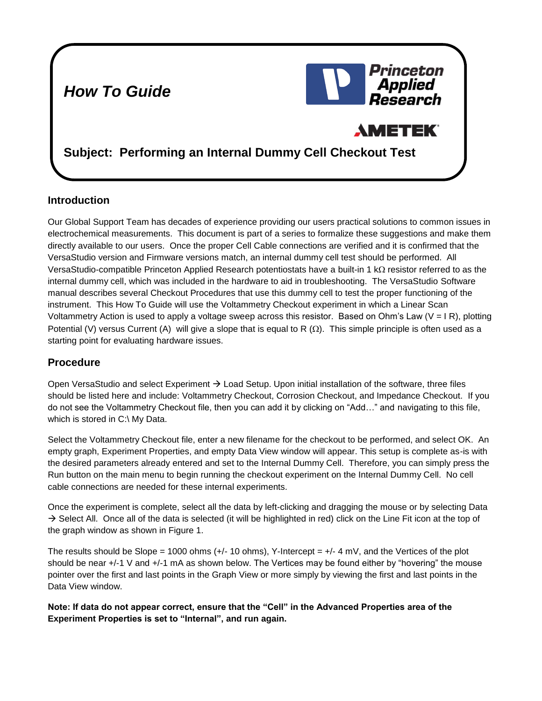## *How To Guide*

# Princeton **Applied** Research **AMETEK Subject: Performing an Internal Dummy Cell Checkout Test**

#### **Introduction**

Our Global Support Team has decades of experience providing our users practical solutions to common issues in electrochemical measurements. This document is part of a series to formalize these suggestions and make them directly available to our users. Once the proper Cell Cable connections are verified and it is confirmed that the VersaStudio version and Firmware versions match, an internal dummy cell test should be performed. All VersaStudio-compatible Princeton Applied Research potentiostats have a built-in 1 k $\Omega$  resistor referred to as the internal dummy cell, which was included in the hardware to aid in troubleshooting. The VersaStudio Software manual describes several Checkout Procedures that use this dummy cell to test the proper functioning of the instrument. This How To Guide will use the Voltammetry Checkout experiment in which a Linear Scan Voltammetry Action is used to apply a voltage sweep across this resistor. Based on Ohm's Law (V = I R), plotting Potential (V) versus Current (A) will give a slope that is equal to R  $(\Omega)$ . This simple principle is often used as a starting point for evaluating hardware issues.

### **Procedure**

Open VersaStudio and select Experiment  $\rightarrow$  Load Setup. Upon initial installation of the software, three files should be listed here and include: Voltammetry Checkout, Corrosion Checkout, and Impedance Checkout. If you do not see the Voltammetry Checkout file, then you can add it by clicking on "Add…" and navigating to this file, which is stored in C:\ My Data.

Select the Voltammetry Checkout file, enter a new filename for the checkout to be performed, and select OK. An empty graph, Experiment Properties, and empty Data View window will appear. This setup is complete as-is with the desired parameters already entered and set to the Internal Dummy Cell. Therefore, you can simply press the Run button on the main menu to begin running the checkout experiment on the Internal Dummy Cell. No cell cable connections are needed for these internal experiments.

Once the experiment is complete, select all the data by left-clicking and dragging the mouse or by selecting Data  $\rightarrow$  Select All. Once all of the data is selected (it will be highlighted in red) click on the Line Fit icon at the top of the graph window as shown in Figure 1.

The results should be Slope = 1000 ohms  $(+/- 10$  ohms), Y-Intercept =  $+/- 4$  mV, and the Vertices of the plot should be near +/-1 V and +/-1 mA as shown below. The Vertices may be found either by "hovering" the mouse pointer over the first and last points in the Graph View or more simply by viewing the first and last points in the Data View window.

**Note: If data do not appear correct, ensure that the "Cell" in the Advanced Properties area of the Experiment Properties is set to "Internal", and run again.**